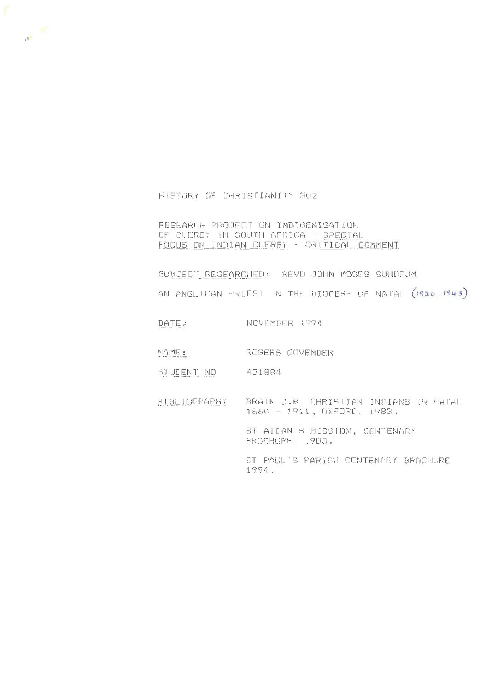HISTORY OF CHRISTIANITY 302

 $\pi^{\mathscr{L}}$ 

RESEARCH PROJECT ON INDIGENISATION OF CLERGY IN SOUTH AFRICA - SPECIAL FOCUS ON INDIAN CLERGY - CRITICAL COMMENT

SUBJECT RESEARCHED: REVD JOHN MOSES SUNDRUM

AN ANGLICAN PRIEST IN THE DIOCESE UF NATAL (1920-1943)

DATE: NOVEMBER 1994

NAME: ROGERS GOVENDER

STUDENT NO 431884

BIBLIOGRAPHY BRAIN J.B. CHRISTIAN INDIANS IN NATAL 1860 - 1911, OXFORD, 1983.

> ST AIDAN'S MISSION, CENTENARY BROCHURE , 1983 .

ST PAUL'S PARISH CENTENARY BROCHURE 1994,.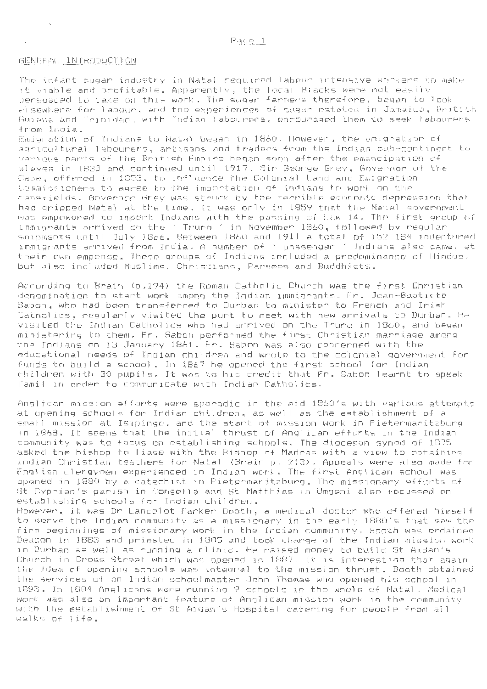## GENERAL INTRODUCTION

 $\sim$ 

The infant sugar industry in Natal required labour intensive workers to make it viable and profitable. Apparently, the local Blacks were not easily persuaded to take on this work. The sugar farmers therefore, began to lock elsewhere for labour, and the experiences of sugar estates in Jamaica, British Guiana and Trinidad, with Indian labourers, encouraged them to seek labourers from India.

Emigration of Indians to Natal began in 1860. However, the emigration of agricultural labourers, artisans and traders from the Indian sub-continent to various parts of the British Empire began soon after the emancipation of slaves in 1833 and continued until 1917. Sir George Grey, Governor of the Cape, offpred in 1853, to influence the Colonial Land and Emigration Commissioners to agree to the importation of Indians to work on the canefields. Governor Grey was struck by the terrible economic depression that had gripped Natal at the time. It was only in 1859 that the Natal government was empowered to import Indians with the passing of Law 14. The first group of immigrants arrived on the' Truro ' in November 1860, followed by regular shipments until July 1866. Between 1860 and 1911 a total of 152 184 indentured immigrants arrived from India. A number of 'passenger ' Indians also came, at their own empense. These groups of Indians included a predominance of Hindus, but also included Muslims, Christians, Parsees and Buddhists.

According to Brain (p.194) the Roman Catholic Church was the first Christian denomination to start work among the Indian immigrants. Fr. Jean-Baptiste Saban, who had been transferred to Durban to minister to French and Irish Catholics, regularly visited the port to meet with new arrivals to Durban. He visited the Indian Catholics who had arrived on the Truro in 1860, and began ministering to them. Fr. Saban performed the first Christian marriage among the Indians on 13 January 1861. Fr. Saban was also concerned with the educational needs of Indian children and wrote to the colonial government for funds to build a school. In 1867 he opened the first school for Indian children with 30 pupils. It was to his credit that Fr. Sabon learnt to speak Tamil in order to communicate with Indian Catholics.

Anglican mission efforts were sporadic in the mid 1860's with various attempts at opening schools for Indian children, as well as the establishment of a small mission at Isipingo, and the start of mission work in Pietermaritzburg in 1868. It seems that the initial thrust of Anglican efforts 1n the Indian community was to focus on establishing schools. The diocesan synod of 1875 asked the bishop to liase with the Bishop of Madras with a view to obtaining Indian Christian teachers for Natal (Brain p. 213). Appeals were also made for English clergymen experienced in Indian work. The first Anglican school was opened in 1880 by a catechist in Pietermaritzburg. The missionary efforts of St Cyprian's parish in Congella and St Matthias in Umgeni also focussed on establishing schools for Indian children.

However, it was Dr Lancelot Parker Booth, a medical doctor who offered himself to serve the Indian community as a missionary in the early 1880's that saw the firm beginnings of missionary work in the Indian community. Booth was ordained Deacon in 1883 and priested in 1885 and took charge of the Indian mission work in Durban as well as running a clinic. He raised money to build St Aidan's Church in Cross Street which was opened in 1887. It is interesting that again the idea of opening schools was integral to the mission thrust. Booth obtained the services of an Indian schoolmaster John Thomas who opened his school in 1883. In 1884 Anglicans were running 9 schools in the whole of Natal. Medical work was also an important feature of Anglican mission work in the community with the establishment of St Aidan's Hospital catering for people from all walks of life.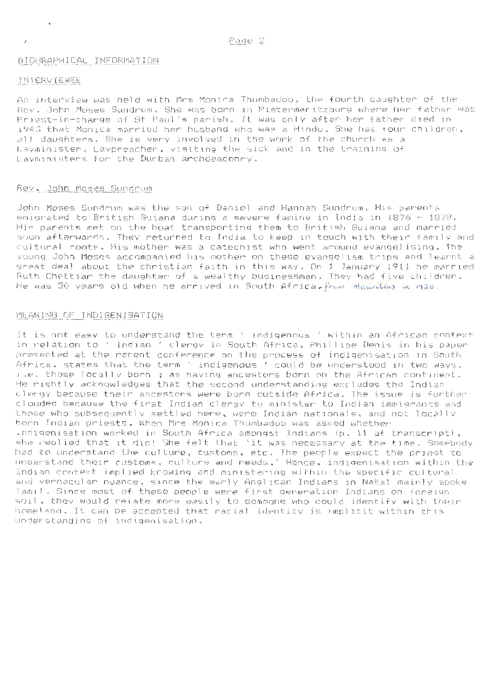# BIOGRAPHICAL INFORMATION

#### INTERVIEWEE

 $\ddot{\phantom{a}}$ 

An interview was held with Mrs Monica Thumbadoo, the fourth daughter of the Rev. John Moses Sundrum. She was born in Pietermaritzburg where her father was Priest-in-charge of St Paul's parish. It was only after her father died in 1943 that Monica married her husband who was a Hindu. She has four children, all daughters. She is very involved in the work of the church as a Layminister, Laypreacher, visiting the sick and in the training of Layministers for the Durban archdeaconry.

# Rev. John Moses Sundrum

John Moses Sundrum was the son of Daniel and Hannah Sundrum. His parents emigrated to British Guiana during a severe famine in India 1n 1876 - 1878. His parents met on the boat transporting them to British Guiana and married soon afterwards. They returned to India to keep in touch with their family and cultural roots. His mother was a catechist who went around evangelising. The young John Moses accompanied his mother on these evangelism trips and learnt a great deal about the christian faith in this way. On 1 January 1911 he married Ruth Chettiar the daughter of a wealthy businessman . They had five children. He was 30 years ald when he arrived in South Africa, *from Mauntius in 1920*.

# MEANING OF INDIGENISATION

It is not easy to understand the term ' indigenous 'within an African context in relation to' Indian 'clergy in South Africa. Phillipe Denis in his paper presented at the recent conference on the process of indigenisation in South Africa, states that the term ' indigenous ' could be understood in two ways, i.e. those locally born ; as having ancestors born on the African continent. He rightly acknowledges that the second understanding excludes the Indian clergy because their ancestors were born outside Africa. The issue is further clouded because the first Indian clergy to minister to Indian immigrants and those who subsequently settled here, were Indian nationals, and not locally born Indian priests. When Mrs Monica Thumbadoo was asked whether 1ndigenisation worked in South Africa amongst Indians (p. 11 of transcript), she replied that it did! She felt that 'it was necessary at the time. Somebody had to understand the culture, customs, etc. The people expect the priest to understand their customs, culture and needs.' Hence, indigenisation within the Indian context implied knowing and ministering within the specific cultural and vernacular nuance, since the early Anglican Indians 1n Natal mainly spoke Tamil. Since most of these people were first generation Indians on foreign soil, they would relate more easily to someone who could identify with their homeland. It can be accepted that racial identity is implicit within this understanding of indigenisation.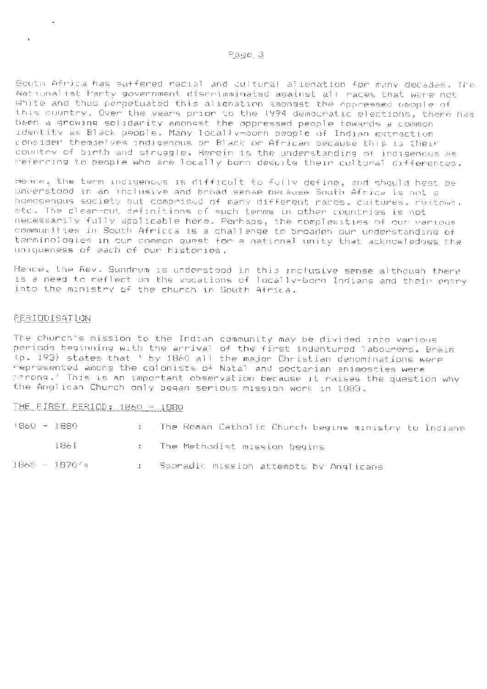## Page 3

South Africa has suffered racial and cultural alienation for many decades. The Nationalist Party government discrimminated against all races that were not White and thus perpetuated this alienation amongst the oppressed people of this country. Over the years prior to the 1994 democratic elections, there tias been a growing solidarity amongst the oppressed people towards a common identity as Black people. Many locally-born people of Indian extraction consider themselves indigenous or Black or African because this is their country of birth and struggle. Herein is the understanding of indigenous as referring to people who are local ly born despite their cultural differences.

Hence, the term indigenous is difficult to fully define, and should best be understood in an inclusive and broad sense because South Africa is not a homogenous society but comprised of many different races, cultures, customs, etc. The clear-cut definitions of such terms in other countries is not necessarily fully applicable here. Perhaps, the complexities of our various communities in South Africca is a challenge to broaden our understanding of terminologies in our common quest for a national unity that acknowledges the uniqueness of each of our histories.

Hence, the Rev. Sundrum is understood in this inclusive sense although there is a need to reflect on the vocations of locally-born Indians and their entry into the ministry of the church in South Africa.

# FERIOD I SATION

à.

The church's mission to the Indian community may be divided into various periods beginning with the arrival of the first indentured labourers. Brain (p. 193) states that ' by 1860 all the major Christian denominations were represented among the colonists of Natal and sectarian animosties were strong.' This is an important observation because it raises the question why the Anglican Church only began serious mission work in 1883.

# THE FIRST PERIOD: 1860 - 1880

| 1860 - 1880 |               | : The Roman Catholic Church begins ministry to Indians |
|-------------|---------------|--------------------------------------------------------|
|             | 1861 -        | . . The Methodist mission begins                       |
|             | 1865 - 18701s | <b>E</b> Sporadic mission attempts by Anglicans        |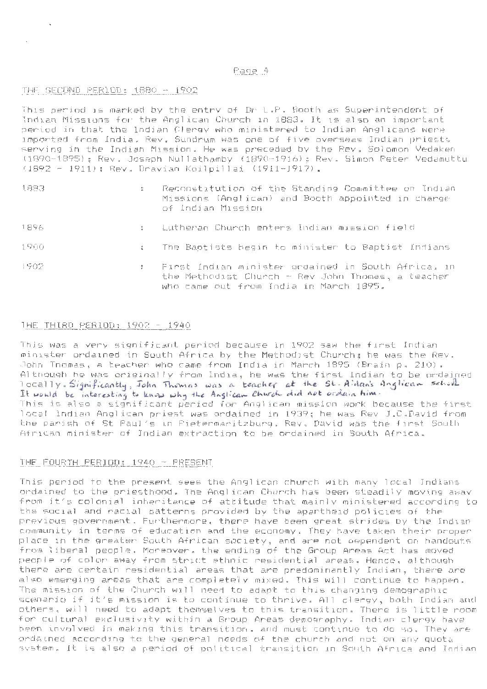## Page 4

# THE SECOND PERIOD: 1880 - 1902

 $\alpha$ 

This period is marked by the entry of Dr L.P. Booth as Superintendent of Indian Missions for the Anglican Church in 1883. It is also an important period in that the Indian Clergy who ministered to Indian Anglicans were imported from India. Rev. Sundrum was one of five overseas Indian priests serving in the Indian Mission. He was preceded by the Rev. Solomon Vedaken (1890-1895); Rev. Joseph Nullathamby (1890-1916); Rev. Simon Peter Vedamuttu  $(1892 - 1911)$ : Rev. Dravian Koilpillai (1911-1917).

1883

 $\bar{\mathbf{r}}$ 

- Reconstitution of the Standing Committee on Indian Missions (Anglican) and Booth appointed in charge of Indian Mission
- 1.896 Lutheran Church enters Indian mission field
- $1900$ The Baptists begin to minister to Baptist Indians
- :l902 First Indian minister ordained 1n South Africa, 1n the Methodist Church - Rev John Thomas, a teacher who came out from India in March 1895.

# THE THIRD PERIOD: 1902 - 1940

This was a very significant period because in 1902 saw the first Indian minister ordained in South Africa by the Methodist Church; he was the Rev. John Thomas, a teacher who came from India in March 1895 (Brain p. 210). Although he was originally from India, he was the first Indian to be ordained I ocally. Significantly, John Thomas was a teacher at the St. Aidan's Anglican school It would be interesting to know why the Anglican Church did not orderin him. This is also a significant period for Anglican mission work because the first local Indian Anglican priest was ordained in 1939; he was Rev J.C.David from the parish of St Paul's in Pietermaritzburg. Rev. David was the first South African minister of Indian extraction to be ordained in South Africa.

#### THE FOURTH PERIOD: 1940 - PRESENT

This period to the present sees the Anglican church with many local Jndians ordained to the priesthood. The Anglican Church has been steadily moving away from it's colonial inheritance of attitude that mainly ministered according to the social and racial patterns provided by the apartheid policies of the previous government. Furthermore, there have been great strides by the Indian community in terms of education and the economy. They have taken their proper place in the greater South African society, and are not dependent on handouts from 1 iberal people. Moreover, the ending of the Group Areas Act has moved people of color away from strict ethnic residential areas . Hence, although there are certain residential areas that are predominantly Indian, there are also emerging areas that are completely mixed. This will continue to happen. The mission of the Church **will** need to adapt to this changing demographic scenario if it's mission is to continue to thrive. All clergy, both Indian and others, will need to adapt themselves to this transition. There is little room for cultural exclusivity within a Group Areas demography. Indian clergy have been involved in making this transition, and must continue to do so. They are ordained according to the general needs of the church and not on any quota svstem. It is also a period of political transition in South Africa and Indian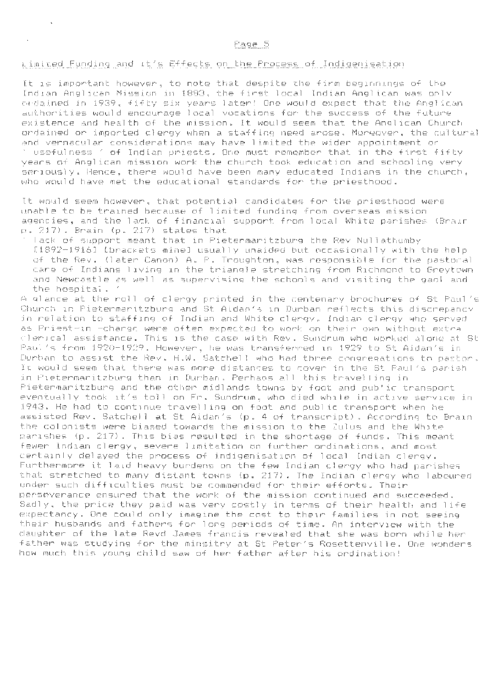## Limited Funding and it's Effects on the Process of Indigenisation

 $\ddot{\phantom{1}}$ 

It is important however, to note that despite the firm beginnings of the Indian Anglican Mission in 1883, the first local Indian Anglican was only ordained in 1939, fifty six years later! One would expect that the Anglican authorities would encourage local vocations for the success of the future existence and health of the mission. It would seem that the Anglican Church ordained or imported clergy when a staffing need arose. Moreover, the cultural and vernacular considerations may have limited the wider appointment or

' useful ness' of Indian priests. One must remember that in the first fifty years of Anglican mission work the church took education and schooling very seriously. Hence, there would have been many educated Indians in the church, who would have met the educational standards for the priesthood.

It woul d seem however, that potential candidates for the priesthood were unable to be trained because of 1 imited funding from overseas mission agencies, and the lack of financial support from local White parishes <Brain p. 217). Brain <p. 217) states that

' lack of support meant that in Pietermaritzburg the Rev Nullathumby [1892-1916] [brackets mine] usually unaided but occasional ly with the help of the Rev. (later Canon) A. P. Troughton, was responsible for the pastoral care of Indians living in the triangle stretching from Richmond to Greytown and Newcastle as well as supervising the schools and visiting the gaol and the hospital. '

A glance at the roll of clergy printed in the centenary brochures of St Paul's Church in Pietermaritzburg and St Aidan's in Durban reflects this discrepancy in relation to staffing of Indian and White clergy. Indian clergy who served as Priest-in -charge were often expected to work on their own without extra clerical assistance. This is the case with Rev. Sundrum who worked alone at St Paul's from 1920- 1929. However, he was transferred in 1929 to St Aidan's in Durban to assist the Rev. H.W. Satchel 1 who had three congregations to pastor. It would seem that there was more distances to cover in the St Paul's parish in Pietermaritzburg than in Durban. Perhaps all this travelling in Pietermaritzburg and the other midlands towns by foot and public transport eventually took it's toll on Fr. Sundrum, who died while in active service in 1943. He had to continue travel] ing on foot and public transport when he assisted Rev. Satchell at St Aidan's (p. 4 of transcript). According to Brain the colonists were biased towards the mission to the Zulus and the White parishes (p. 217). This bias resulted in the shortage of funds. This meant fewer Indian clergy, severe 1 imitation on further ordinations, and most certainly delayed the process of indigenisation of local Indian clergy. Furthermore it laid heavy burdens on the few Indian clergy who had parishes that stretched to many distant towns (p. 217). The Indian clergy who laboured under such difficul ties must be commended for their efforts. Their perseverance ensured that the work of the mission continued and succeeded. Sadly, the price they paid was very costly in terms of their health and life expectancy. One could only imagine the cost to their families in not seeing their husbands and fathers for long periods of time. An interview with the daughter of the late Revd James francis revealed that she was born while her father was studying for the minsitry at St Peter's Rosettenville. One wonders how much this young child saw of her father after his ordination!

# Page 5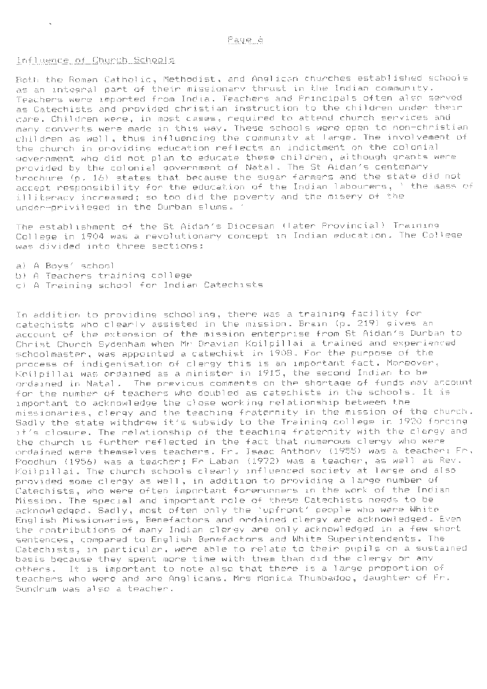#### Fage 6

## Influence of Church Schools

Both the Roman Catholic, Methodist, and Anglican churches established schools as an integral part of their missionary thrust in the Indian community . Teachers were imported from India. Teachers and Principals often also served as Catechists and provided christian instruction to the children under their care. Children were, in most cases, required to attend church services and many converts were made in this way. These schools were open to non-christian children as well, thus influencing the community at large . The involvement of the church in providing education reflects an indictment on the colonial government who did not plan to educate these children, although grants were provided by the colonial government of Natal. The St Aidan's centenary brochure (p. 16) states that because the sugar farmers and the state did not accept responsibility for the education of the Indian labourers, ' the mass of illiteracy increased; so too did the poverty and the misery of the under-privileged in the Durban slums . '

The establishment of the St Aidan's Diocesan (later Provincial) Training College in 1904 was a revolutionary concept in Indian education. The College was divided into three sections:

a) A Boys' school

- b) A Teachers training college
- c) A Training school for Indian Catechists

In addition to providing schooling, there was a training facility for catechists who clearly assisted in the mission. Brain (p. 219) gives an account of the extension of the mission enterprise from St Aidan's Durban to Christ Church Sydenham when Mr Dravian Koilpillai a trained and experienced schoolmaster, was appointed a catechist in 1908 . For the purpose of the process of indigenisation of clergy this is an important fact. Moreover, Koilpillai was ordained as a minister in 1915, the second Indian to be ordained in Natal. The previous comments on the shortage of funds may account for the number of teachers who doubled as catechists in the schools. It is important to acknowledge the close working relationship between the missionaries, clergy and the teaching fraternity in the mission of the church. Sadly the state withdrew it's subsidy to the Training college in 1920 forcing it's closure. The relationship of the teaching fraternity with the clergy and the church is further reflected in the fact that numerous clergy who were ordained were themselves teachers . Fr . Isaac Anthony (1955) was a teacher ; Fr. Poodhun (1956) was a teacher; Fr Laban (1972) was a teacher, as well as Rev. Koilp1llai . The church schools clearly influenced society at large and also provided some clergy as well, in addition to providing a large number of Catechists, who were often important forerunners in the work of the Indian Mission. The special and important role of these Catechists needs to be acknowledged . Sadly, most often only the 'upfront' people who were White English Missionaries, Benefactors and nrdained clergy are acknowledged. Even the contributions of many Indian clergy are only acknowledged in a few short sentences, compared to English Benefactors and White Superintendents. The Catechists, in particular, were able to relate to their pupils on a sustained basis because they spent more time with them than did the clergy or any others. It is important to note also that there is a large proportion of teachers who were and are Anglicans. Mrs Monica Thumbadoo, daughter of Fr. Sundrum was also a teacher.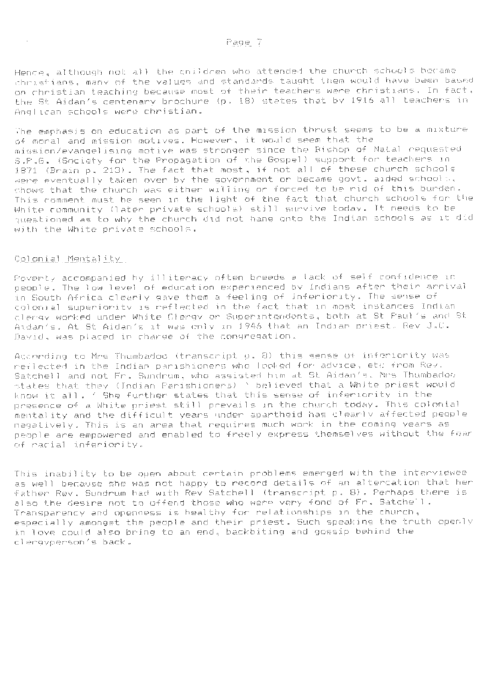Hence, although not all the children who attended the church schools became christians, many of the values and standards taught them would have been based on christian teaching because most of their teachers were christians. In fact , the St Aidan's centenary brochure (p. 18) states that by 1916 all teachers in Anglican schools were christian.

The emphasis on education as part of the mission thrust seems to be a mixture of moral and mission motives. However, it would seem that the mission/evangelising motive was stronger since the Bishop of Natal requested S.P.G. (Society for the Propagation of the Gospel) support for teachers in 1871 (Brain p. 213). The fact that most, if not all of these church schools were eventually taken over by the government or became govt. aided school , shows that the church was either willing or forced to be rid of this burden. This comment must be seen in the 1 ight of the fact that church schools for the White community (later private schools) still survive today. It needs to be questioned as to why the church did not hang onto the Indian schools as it did with the White private schools.

## Colonial Mentality

 $\sim$ 

Poverty accompanied by illiteracy often breeds a lack of self confidence in people. The low level of education experienced by Indians after their arrival in South Africa clearly gave them a feeling of inferiority. The sense of colonial superiority is reflected in the fact that in most instances Indian clergy worked under White Clergy or Superintendents, both at St Paul's and St Aidan's. At St Aidan's it was only in 1946 that an Indian priest. Rev J.C. David , was placed in charge of the congregation .

According to Mrs Thumbadoo (transcript p. 8) this sense of inferiority was reflected in the Indian parishioners who looked for advice, etc from Rev . Satchell and not Fr. Sundrum, who assisted him at St Aidan's . Mrs Thumbadoo states that they (Indian Parishioners) ' believed that a White priest would know it all. ' She further states that this sense of inferiority in the presence of a White priest still prevails in the church today. This colonial mentality and the difficult years under apartheid has clearly affected people negatively . This is an area that requires much work in the coming years as people are empowered and enabled to freely express themselves without the fear of racial inferiority .

This inability to be open about certain problems emerged wjth the interviewee as well because she was not happy to record details of an altercation that her father Rev. Sundrum had with Rev Satchel 1 (transcript p . 8) . Perhaps there is also the desire not to offend those who were very fond of Fr. Satchell. Transparency and openness is healthy for relationships in the church, especially amongst the people and their priest. Such speaking the truth openly in love could also bring to an end, backbiting and gossip behind the clergyperson's back.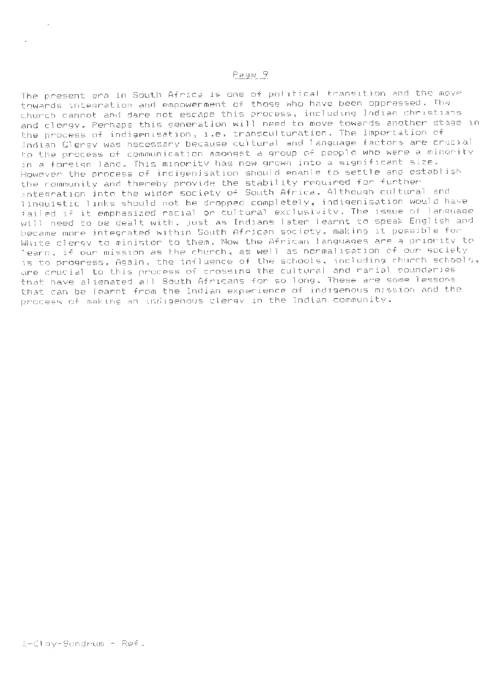# Page 9

The present era in South Africa is one of political transition and the move towards integration and empowerment of those who have been oppressed. The church cannot and dare not escape this process, including Indian christians and clergy. Perhaps this generation will need to move towards another stage in the process of indigenisation, i.e. transculturation. The importation of Indian Clergy was necessary because cultural and language factors are crucial to the process of communication amongst a group of people who were a minority in a foreign land. This minority has now grown into a significant size. However the process of indigenisation should enable to settle and establish the community and thereby provide the stability required for further integration into the wider society of South Africa. Although cultural and linguistic 1 inks should not be dropped completely, indigenisation would have failed if it emphasized racial or cultural exclusivity. The issue of language will need to be dealt with, just as Indians later learnt to speak English and became more integrated within South African society, making it possible for White clergy to minister to them. Now the African languages are a priority to learn, if our mission as the church, as well as normalisation of our society is to progress. Again, the influence of the schools, including church schools, are crucial to this process of crossing the cultural and racial boundaries that have alienated all South Africans for so long. These are some lessons that can be learnt from the Indian experience of indigenous mission and the process of making an indigenous clergy in the Indian community.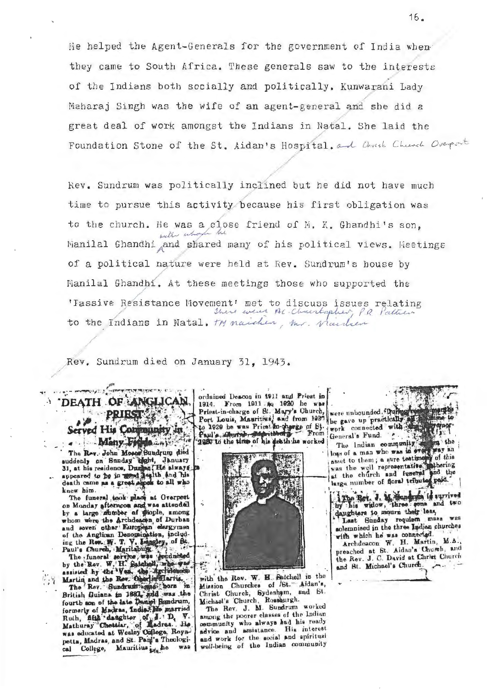He helped the Agent-Generals for the government of India when they came to South Africa. These generals saw to the interests of the Indians both socially and politically . Kunwarani Lady Maharaj Singh was the wife of an agent-general and she did a great deal of work amongst the Indians in Natal. She laid the Foundation Stone of the St. Aidan's Hospital. and Christ Church Overport

> / /

Rev. Sundrum was politically inclined but he did not have much ./ time to pursue this activity because his first obligation was to the church. He was a close friend of **F**. K. Ghandhi's son, Manilal Ghandhi and shared many of his political views. Heetings of a political nature were held at Rev. Sundrum's house by Manilal Ghandhi. At these meetings those who supported the 'Iassive Resistance Movement' met to discuss issues relating *jhere went At-Christopher, P.R. Pattien* to the Indians in Natal. My naicher, Mr. Nachen

Rev. Sundrum died on January 31, 1943.

Served His Community in Adoleny College Many F The Rev. John Moses Sundrum died suddenly on Sunday ught, January<br>31, at his residence, Drughaf He siways

/

He was more property and

DEATH

knew him. The funeral took place at Overport<br>on Monday afternoon and was attended

on Monday afternoon and was attended<br>by a large ratiober of Stople, among<br>whom were the Archdeaden of Durban<br>and seven other European elergymen<br>of the Anglican Denomination, includ-<br>ing the Rev. W. T. V. Largey, of St.<br>Pau petta, Madras, and St. Paul's Theological College, Mauritius its he was

ordained Descon in 1911 and Priest in ordanced Descon in 1911 and Frest in<br>
1914. From 1911 Ao 1920 he was<br>
Priest-in-charge of St. Mayr's Church,<br>
Port Louis, Mauritius, and from 1920 he gave up practically<br>
to 1929 he was Priest in-charge of St.<br>
Paul's Mart Paul's Abursh, Maritaburg From



with the Rev. W. H. Satchell in the Mission Churches of ISt. Aidan's, Christ Church, Sydenham, and St. Christ Church, Sydenaym, and St.<br>Michael's Church, Rossburgh.<br>The Rev. J. M. Sunchrum worked

among the poorer classes of the Indian namong the poorer cusses of the interest advice and assistance. This inverse. well-being of the Indian community

General's Fund. ...

the The Indian community The Indian community and the loop of a man who was in swift way an asset to them; a sure testimony of this was the well representative indicates the church and function indicates in the church and function indicates

The Bot. J. M. Mandrum is survived by his widow, three what is daughters to mourn their leas,

solemnised in the three Indian churches with which he was connected.

Archdeacon W. H. Martin, M.A., preached at St. Aidan's Church, and the Rev. J. C. David at Christ Church and St. Michael's Church.  $\sim$